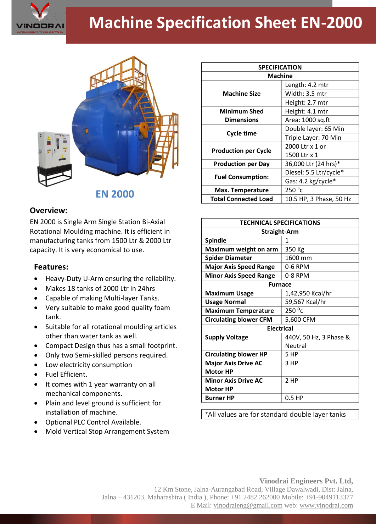

## **Machine Specification Sheet EN-2000**



**EN 2000**

## **Overview:**

EN 2000 is Single Arm Single Station Bi-Axial Rotational Moulding machine. It is efficient in manufacturing tanks from 1500 Ltr & 2000 Ltr capacity. It is very economical to use.

## **Features:**

- Heavy-Duty U-Arm ensuring the reliability.
- Makes 18 tanks of 2000 Ltr in 24hrs
- Capable of making Multi-layer Tanks.
- Very suitable to make good quality foam tank.
- Suitable for all rotational moulding articles other than water tank as well.
- Compact Design thus has a small footprint.
- Only two Semi-skilled persons required.
- Low electricity consumption
- Fuel Efficient.
- It comes with 1 year warranty on all mechanical components.
- Plain and level ground is sufficient for installation of machine.
- Optional PLC Control Available.
- Mold Vertical Stop Arrangement System

| <b>SPECIFICATION</b>        |                         |
|-----------------------------|-------------------------|
| <b>Machine</b>              |                         |
| <b>Machine Size</b>         | Length: 4.2 mtr         |
|                             | Width: 3.5 mtr          |
|                             | Height: 2.7 mtr         |
| <b>Minimum Shed</b>         | Height: 4.1 mtr         |
| <b>Dimensions</b>           | Area: 1000 sq.ft        |
| <b>Cycle time</b>           | Double layer: 65 Min    |
|                             | Triple Layer: 70 Min    |
| <b>Production per Cycle</b> | 2000 Ltr x 1 or         |
|                             | 1500 Ltr x 1            |
| <b>Production per Day</b>   | 36,000 Ltr (24 hrs)*    |
| <b>Fuel Consumption:</b>    | Diesel: 5.5 Ltr/cycle*  |
|                             | Gas: 4.2 kg/cycle*      |
| Max. Temperature            | 250 °c                  |
| <b>Total Connected Load</b> | 10.5 HP, 3 Phase, 50 Hz |

| <b>TECHNICAL SPECIFICATIONS</b> |                        |
|---------------------------------|------------------------|
| <b>Straight-Arm</b>             |                        |
| <b>Spindle</b>                  | 1                      |
| Maximum weight on arm           | 350 Kg                 |
| <b>Spider Diameter</b>          | 1600 mm                |
| <b>Major Axis Speed Range</b>   | 0-6 RPM                |
| <b>Minor Axis Speed Range</b>   | 0-8 RPM                |
| <b>Furnace</b>                  |                        |
| <b>Maximum Usage</b>            | 1,42,950 Kcal/hr       |
| <b>Usage Normal</b>             | 59,567 Kcal/hr         |
| <b>Maximum Temperature</b>      | 250 °c                 |
| <b>Circulating blower CFM</b>   | 5,600 CFM              |
| <b>Electrical</b>               |                        |
| <b>Supply Voltage</b>           | 440V, 50 Hz, 3 Phase & |
|                                 | Neutral                |
| <b>Circulating blower HP</b>    | 5 HP                   |
| <b>Major Axis Drive AC</b>      | 3 HP                   |
| <b>Motor HP</b>                 |                        |
| <b>Minor Axis Drive AC</b>      | 2 HP                   |
| <b>Motor HP</b>                 |                        |
| <b>Burner HP</b>                | $0.5$ HP               |

\*All values are for standard double layer tanks

## **Vinodrai Engineers Pvt. Ltd,**

12 Km Stone, Jalna-Aurangabad Road, Village Dawalwadi, Dist: Jalna, Jalna – 431203, Maharashtra ( India ), Phone: +91 2482 262000 Mobile: +91-9049113377 E Mail: vinodraieng@gmail.com web: www.vinodrai.com